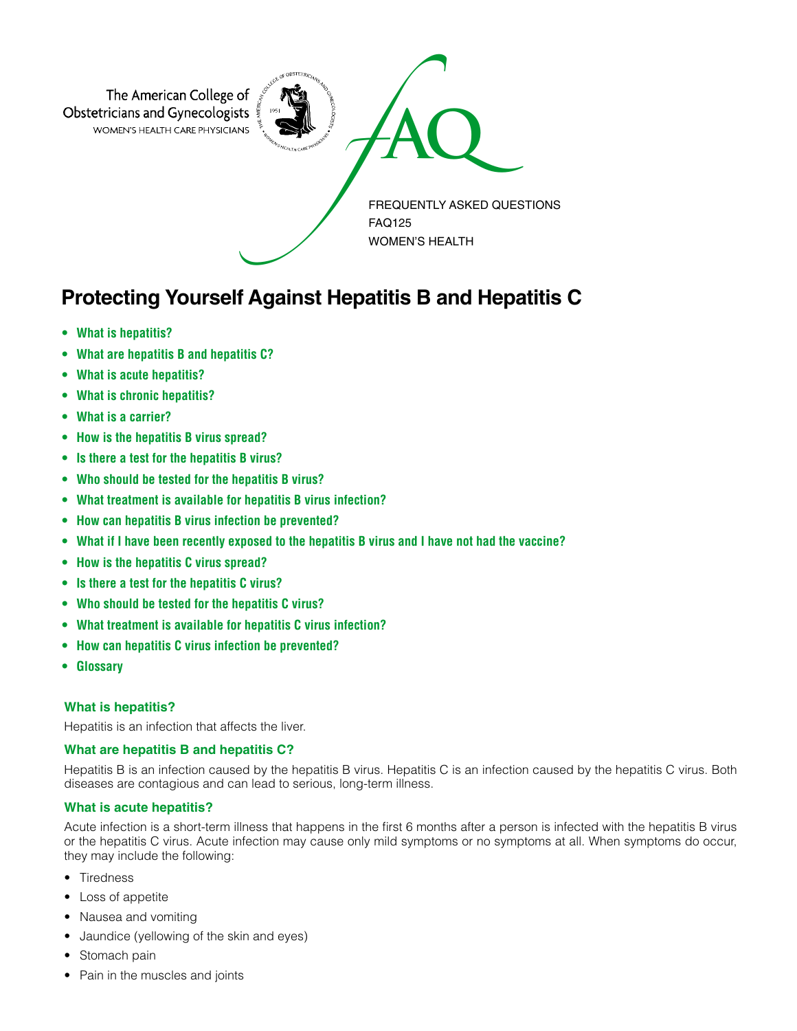

# **Protecting Yourself Against Hepatitis B and Hepatitis C**

- **• [What is hepatitis?](#page-0-0)**
- **• [What are hepatitis B and hepatitis C?](#page-0-1)**
- **• [What is acute hepatitis?](#page-0-2)**
- **• [What is chronic hepatitis?](#page-1-0)**
- **• [What is a carrier?](#page-1-1)**
- **• [How is the hepatitis B virus spread?](#page-1-2)**
- **• [Is there a test for the hepatitis B virus?](#page-1-3)**
- **• [Who should be tested for the hepatitis B virus?](#page-1-4)**
- **• [What treatment is available for hepatitis B virus infection?](#page-1-5)**
- **• [How can hepatitis B virus infection be prevented?](#page-1-6)**
- **• [What if I have been recently exposed to the hepatitis B virus and I have not had the vaccine?](#page-1-7)**
- **• [How is the hepatitis C virus spread?](#page-1-8)**
- **• [Is there a test for the hepatitis C virus?](#page-1-9)**
- **• [Who should be tested for the hepatitis C virus?](#page-2-0)**
- **• [What treatment is available for hepatitis C virus infection?](#page-2-1)**
- **• [How can hepatitis C virus infection be prevented?](#page-2-2)**
- **• [Glossary](#page-2-3)**

# <span id="page-0-0"></span>**What is hepatitis?**

Hepatitis is an infection that affects the liver.

# <span id="page-0-1"></span>**What are hepatitis B and hepatitis C?**

Hepatitis B is an infection caused by the hepatitis B virus. Hepatitis C is an infection caused by the hepatitis C virus. Both diseases are contagious and can lead to serious, long-term illness.

# <span id="page-0-2"></span>**What is acute hepatitis?**

Acute infection is a short-term illness that happens in the first 6 months after a person is infected with the hepatitis B virus or the hepatitis C virus. Acute infection may cause only mild symptoms or no symptoms at all. When symptoms do occur, they may include the following:

- Tiredness
- Loss of appetite
- Nausea and vomiting
- Jaundice (yellowing of the skin and eyes)
- Stomach pain
- Pain in the muscles and joints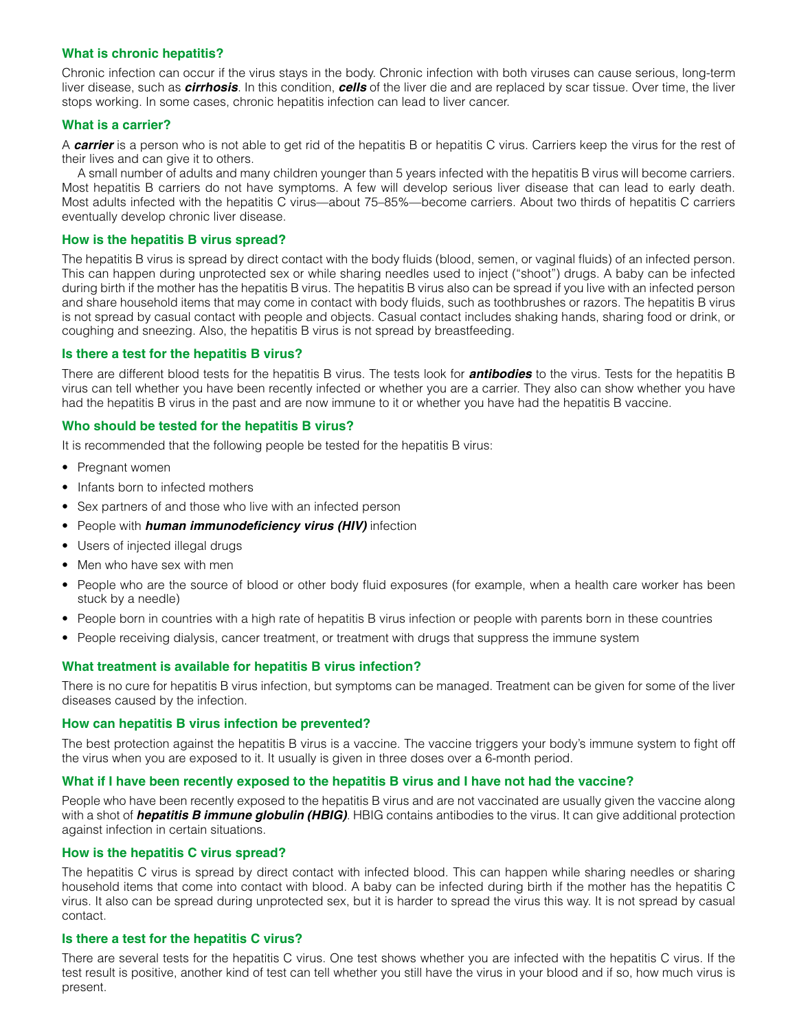# <span id="page-1-0"></span>**What is chronic hepatitis?**

Chronic infection can occur if the virus stays in the body. Chronic infection with both viruses can cause serious, long-term liver disease, such as *cirrhosis*. In this condition, *cells* of the liver die and are replaced by scar tissue. Over time, the liver stops working. In some cases, chronic hepatitis infection can lead to liver cancer.

#### <span id="page-1-1"></span>**What is a carrier?**

A *carrier* is a person who is not able to get rid of the hepatitis B or hepatitis C virus. Carriers keep the virus for the rest of their lives and can give it to others.

A small number of adults and many children younger than 5 years infected with the hepatitis B virus will become carriers. Most hepatitis B carriers do not have symptoms. A few will develop serious liver disease that can lead to early death. Most adults infected with the hepatitis C virus—about 75–85%—become carriers. About two thirds of hepatitis C carriers eventually develop chronic liver disease.

## <span id="page-1-2"></span>**How is the hepatitis B virus spread?**

The hepatitis B virus is spread by direct contact with the body fluids (blood, semen, or vaginal fluids) of an infected person. This can happen during unprotected sex or while sharing needles used to inject ("shoot") drugs. A baby can be infected during birth if the mother has the hepatitis B virus. The hepatitis B virus also can be spread if you live with an infected person and share household items that may come in contact with body fluids, such as toothbrushes or razors. The hepatitis B virus is not spread by casual contact with people and objects. Casual contact includes shaking hands, sharing food or drink, or coughing and sneezing. Also, the hepatitis B virus is not spread by breastfeeding.

## <span id="page-1-3"></span>**Is there a test for the hepatitis B virus?**

There are different blood tests for the hepatitis B virus. The tests look for *antibodies* to the virus. Tests for the hepatitis B virus can tell whether you have been recently infected or whether you are a carrier. They also can show whether you have had the hepatitis B virus in the past and are now immune to it or whether you have had the hepatitis B vaccine.

## <span id="page-1-4"></span>**Who should be tested for the hepatitis B virus?**

It is recommended that the following people be tested for the hepatitis B virus:

- Pregnant women
- Infants born to infected mothers
- Sex partners of and those who live with an infected person
- People with *human immunodeficiency virus (HIV)* infection
- Users of injected illegal drugs
- Men who have sex with men
- People who are the source of blood or other body fluid exposures (for example, when a health care worker has been stuck by a needle)
- People born in countries with a high rate of hepatitis B virus infection or people with parents born in these countries
- People receiving dialysis, cancer treatment, or treatment with drugs that suppress the immune system

# <span id="page-1-5"></span>**What treatment is available for hepatitis B virus infection?**

There is no cure for hepatitis B virus infection, but symptoms can be managed. Treatment can be given for some of the liver diseases caused by the infection.

#### <span id="page-1-6"></span>**How can hepatitis B virus infection be prevented?**

The best protection against the hepatitis B virus is a vaccine. The vaccine triggers your body's immune system to fight off the virus when you are exposed to it. It usually is given in three doses over a 6-month period.

#### <span id="page-1-7"></span>**What if I have been recently exposed to the hepatitis B virus and I have not had the vaccine?**

People who have been recently exposed to the hepatitis B virus and are not vaccinated are usually given the vaccine along with a shot of *hepatitis B immune globulin (HBIG)*. HBIG contains antibodies to the virus. It can give additional protection against infection in certain situations.

# <span id="page-1-8"></span>**How is the hepatitis C virus spread?**

The hepatitis C virus is spread by direct contact with infected blood. This can happen while sharing needles or sharing household items that come into contact with blood. A baby can be infected during birth if the mother has the hepatitis C virus. It also can be spread during unprotected sex, but it is harder to spread the virus this way. It is not spread by casual contact.

## <span id="page-1-9"></span>**Is there a test for the hepatitis C virus?**

There are several tests for the hepatitis C virus. One test shows whether you are infected with the hepatitis C virus. If the test result is positive, another kind of test can tell whether you still have the virus in your blood and if so, how much virus is present.